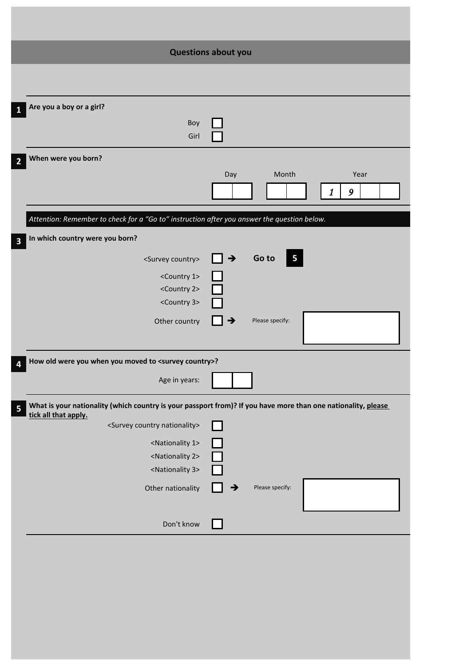|                                                                                                                                                            | <b>Questions about you</b>                                                                                    |
|------------------------------------------------------------------------------------------------------------------------------------------------------------|---------------------------------------------------------------------------------------------------------------|
|                                                                                                                                                            |                                                                                                               |
| Are you a boy or a girl?<br>1                                                                                                                              |                                                                                                               |
| Boy<br>Girl                                                                                                                                                |                                                                                                               |
| When were you born?<br>$\overline{2}$                                                                                                                      |                                                                                                               |
|                                                                                                                                                            | Month<br>Day<br>Year<br>9<br>1                                                                                |
| Attention: Remember to check for a "Go to" instruction after you answer the question below.                                                                |                                                                                                               |
| In which country were you born?<br>$\overline{\mathbf{3}}$                                                                                                 |                                                                                                               |
| <survey country=""><br/><country 1=""><br/><country 2=""><br/><country 3=""><br/>Other country</country></country></country></survey>                      | Go to<br>∣ →<br>$\overline{\mathbf{5}}$<br>Please specify:<br>→                                               |
|                                                                                                                                                            |                                                                                                               |
| How old were you when you moved to <survey country="">?<br/>4</survey>                                                                                     |                                                                                                               |
| Age in years:                                                                                                                                              |                                                                                                               |
| 5<br>tick all that apply.                                                                                                                                  | What is your nationality (which country is your passport from)? If you have more than one nationality, please |
| <survey country="" nationality=""><br/><nationality 1=""><br/><nationality 2=""><br/><nationality 3=""></nationality></nationality></nationality></survey> |                                                                                                               |
| Other nationality                                                                                                                                          | Please specify:<br>→                                                                                          |
| Don't know                                                                                                                                                 |                                                                                                               |
|                                                                                                                                                            |                                                                                                               |

I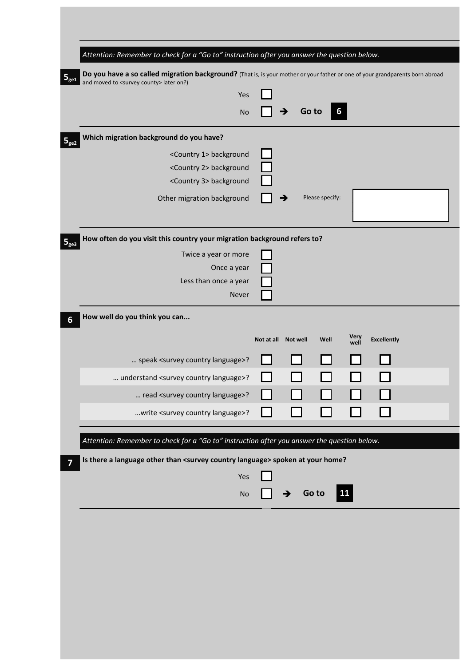|                           | Attention: Remember to check for a "Go to" instruction after you answer the question below.                                                                                          |                     |   |       |                 |      |                    |  |
|---------------------------|--------------------------------------------------------------------------------------------------------------------------------------------------------------------------------------|---------------------|---|-------|-----------------|------|--------------------|--|
| $\mathbf{5}_{\text{ge1}}$ | Do you have a so called migration background? (That is, is your mother or your father or one of your grandparents born abroad<br>and moved to <survey county=""> later on?)</survey> |                     |   |       |                 |      |                    |  |
|                           | Yes                                                                                                                                                                                  |                     |   |       |                 |      |                    |  |
|                           | <b>No</b>                                                                                                                                                                            |                     |   | Go to | 6               |      |                    |  |
| 5 <sub>ge2</sub>          | Which migration background do you have?                                                                                                                                              |                     |   |       |                 |      |                    |  |
|                           | <country 1=""> background</country>                                                                                                                                                  |                     |   |       |                 |      |                    |  |
|                           | <country 2=""> background</country>                                                                                                                                                  |                     |   |       |                 |      |                    |  |
|                           | <country 3=""> background</country>                                                                                                                                                  |                     |   |       |                 |      |                    |  |
|                           | Other migration background                                                                                                                                                           |                     |   |       | Please specify: |      |                    |  |
| 5 <sub>ge3</sub>          | How often do you visit this country your migration background refers to?                                                                                                             |                     |   |       |                 |      |                    |  |
|                           | Twice a year or more                                                                                                                                                                 |                     |   |       |                 |      |                    |  |
|                           | Once a year                                                                                                                                                                          |                     |   |       |                 |      |                    |  |
|                           | Less than once a year                                                                                                                                                                |                     |   |       |                 |      |                    |  |
|                           | Never                                                                                                                                                                                |                     |   |       |                 |      |                    |  |
| 6                         | How well do you think you can                                                                                                                                                        |                     |   |       |                 |      |                    |  |
|                           |                                                                                                                                                                                      | Not at all Not well |   |       | Well            | Very | <b>Excellently</b> |  |
|                           |                                                                                                                                                                                      |                     |   |       |                 | well |                    |  |
|                           | speak <survey country="" language="">?</survey>                                                                                                                                      |                     |   |       |                 |      |                    |  |
|                           | understand <survey country="" language="">?</survey>                                                                                                                                 |                     |   |       |                 |      |                    |  |
|                           | read <survey country="" language="">?</survey>                                                                                                                                       |                     |   |       |                 |      |                    |  |
|                           | write <survey country="" language="">?</survey>                                                                                                                                      |                     |   |       |                 |      |                    |  |
|                           |                                                                                                                                                                                      |                     |   |       |                 |      |                    |  |
|                           | Attention: Remember to check for a "Go to" instruction after you answer the question below.                                                                                          |                     |   |       |                 |      |                    |  |
|                           | Is there a language other than <survey country="" language=""> spoken at your home?</survey>                                                                                         |                     |   |       |                 |      |                    |  |
|                           | Yes                                                                                                                                                                                  |                     |   |       |                 |      |                    |  |
|                           | No                                                                                                                                                                                   |                     | → | Go to |                 | 11   |                    |  |
|                           |                                                                                                                                                                                      |                     |   |       |                 |      |                    |  |
|                           |                                                                                                                                                                                      |                     |   |       |                 |      |                    |  |
|                           |                                                                                                                                                                                      |                     |   |       |                 |      |                    |  |
|                           |                                                                                                                                                                                      |                     |   |       |                 |      |                    |  |
|                           |                                                                                                                                                                                      |                     |   |       |                 |      |                    |  |
|                           |                                                                                                                                                                                      |                     |   |       |                 |      |                    |  |
|                           |                                                                                                                                                                                      |                     |   |       |                 |      |                    |  |
|                           |                                                                                                                                                                                      |                     |   |       |                 |      |                    |  |
|                           |                                                                                                                                                                                      |                     |   |       |                 |      |                    |  |
|                           |                                                                                                                                                                                      |                     |   |       |                 |      |                    |  |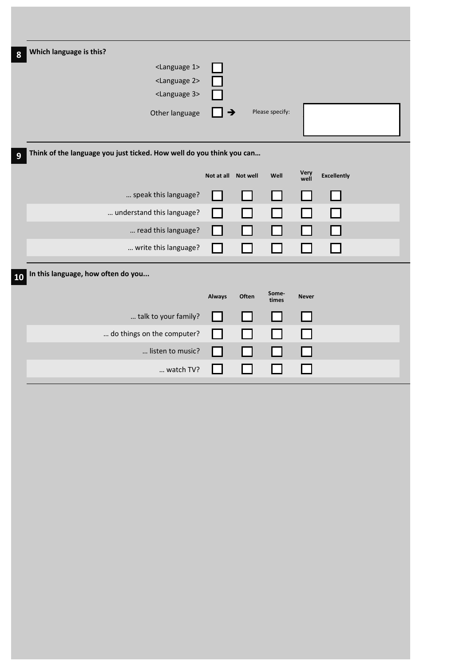| Which language is this?                                              |                     |       |                 |              |                    |  |
|----------------------------------------------------------------------|---------------------|-------|-----------------|--------------|--------------------|--|
| <language 1=""></language>                                           |                     |       |                 |              |                    |  |
| <language 2=""></language>                                           |                     |       |                 |              |                    |  |
| <language 3=""></language>                                           |                     |       |                 |              |                    |  |
| Other language                                                       | $\rightarrow$       |       | Please specify: |              |                    |  |
|                                                                      |                     |       |                 |              |                    |  |
| Think of the language you just ticked. How well do you think you can |                     |       |                 |              |                    |  |
|                                                                      |                     |       |                 |              |                    |  |
|                                                                      | Not at all Not well |       | Well            | Very<br>well | <b>Excellently</b> |  |
| speak this language?                                                 |                     |       |                 |              |                    |  |
| understand this language?                                            |                     |       |                 |              |                    |  |
| read this language?                                                  |                     |       |                 |              |                    |  |
| write this language?                                                 | $\sim 10$           |       |                 |              |                    |  |
|                                                                      |                     |       |                 |              |                    |  |
| In this language, how often do you                                   |                     |       |                 |              |                    |  |
|                                                                      | <b>Always</b>       | Often | Some-<br>times  | <b>Never</b> |                    |  |
| talk to your family?                                                 |                     |       |                 |              |                    |  |
| do things on the computer?                                           |                     |       |                 |              |                    |  |
| listen to music?                                                     |                     |       |                 |              |                    |  |
|                                                                      |                     |       |                 |              |                    |  |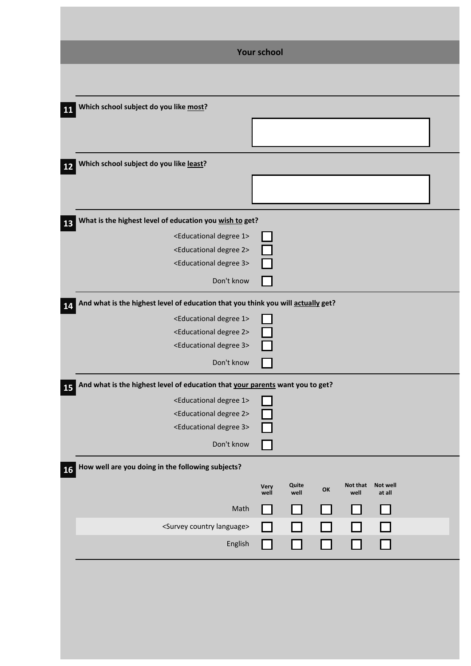| <b>Your school</b>                                                                         |                                             |
|--------------------------------------------------------------------------------------------|---------------------------------------------|
|                                                                                            |                                             |
| Which school subject do you like most?<br><b>11</b>                                        |                                             |
|                                                                                            |                                             |
| Which school subject do you like least?                                                    |                                             |
| 12                                                                                         |                                             |
|                                                                                            |                                             |
| What is the highest level of education you wish to get?                                    |                                             |
| <educational 1="" degree=""><br/><educational 2="" degree=""></educational></educational>  |                                             |
| <educational 3="" degree=""></educational>                                                 |                                             |
| Don't know                                                                                 |                                             |
| And what is the highest level of education that you think you will actually get?<br>14     |                                             |
| <educational 1="" degree=""></educational>                                                 |                                             |
| <educational 2="" degree=""></educational>                                                 |                                             |
| <educational 3="" degree=""></educational>                                                 |                                             |
| Don't know                                                                                 |                                             |
| And what is the highest level of education that your parents want you to get?<br><b>15</b> |                                             |
| <educational 1="" degree=""></educational>                                                 |                                             |
| <educational 2="" degree=""><br/><educational 3="" degree=""></educational></educational>  |                                             |
| Don't know                                                                                 |                                             |
| How well are you doing in the following subjects?<br><b>16</b>                             |                                             |
| Very                                                                                       | Quite<br>Not that<br>Not well<br>OK<br>well |
| well<br>Math                                                                               | well<br>at all                              |
| <survey country="" language=""></survey>                                                   |                                             |
| English                                                                                    |                                             |
|                                                                                            |                                             |
|                                                                                            |                                             |
|                                                                                            |                                             |
|                                                                                            |                                             |
|                                                                                            |                                             |
|                                                                                            |                                             |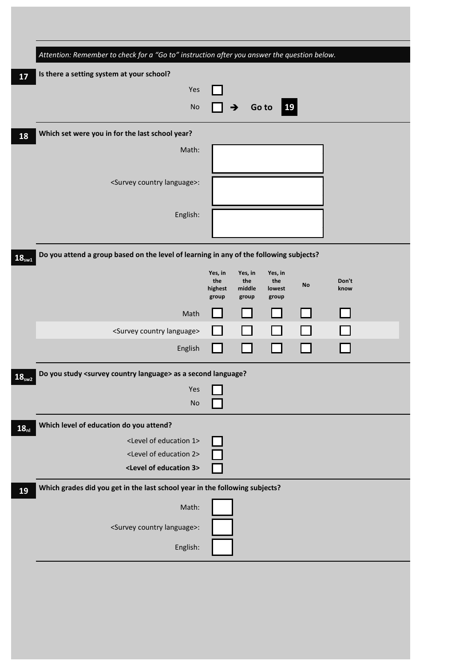| Is there a setting system at your school?                                              |                                    |                                   |                                   |    |               |
|----------------------------------------------------------------------------------------|------------------------------------|-----------------------------------|-----------------------------------|----|---------------|
| Yes                                                                                    |                                    |                                   |                                   |    |               |
| <b>No</b>                                                                              |                                    | $\rightarrow$                     | $\vert$ 19<br>Go to               |    |               |
| Which set were you in for the last school year?                                        |                                    |                                   |                                   |    |               |
| Math:                                                                                  |                                    |                                   |                                   |    |               |
| <survey country="" language="">:</survey>                                              |                                    |                                   |                                   |    |               |
| English:                                                                               |                                    |                                   |                                   |    |               |
|                                                                                        |                                    |                                   |                                   |    |               |
| Do you attend a group based on the level of learning in any of the following subjects? |                                    |                                   |                                   |    |               |
|                                                                                        | Yes, in<br>the<br>highest<br>group | Yes, in<br>the<br>middle<br>group | Yes, in<br>the<br>lowest<br>group | No | Don't<br>know |
| Math                                                                                   |                                    |                                   |                                   |    |               |
| <survey country="" language=""></survey>                                               |                                    |                                   |                                   |    |               |
| English                                                                                |                                    |                                   |                                   |    |               |
| Do you study <survey country="" language=""> as a second language?</survey>            |                                    |                                   |                                   |    |               |
| Yes                                                                                    |                                    |                                   |                                   |    |               |
| <b>No</b>                                                                              |                                    |                                   |                                   |    |               |
| Which level of education do you attend?                                                |                                    |                                   |                                   |    |               |
| <level 1="" education="" of=""></level>                                                |                                    |                                   |                                   |    |               |
| <level 2="" education="" of=""></level>                                                |                                    |                                   |                                   |    |               |
| <level 3="" education="" of=""></level>                                                |                                    |                                   |                                   |    |               |
| Which grades did you get in the last school year in the following subjects?            |                                    |                                   |                                   |    |               |
| Math:                                                                                  |                                    |                                   |                                   |    |               |
| <survey country="" language="">:</survey>                                              |                                    |                                   |                                   |    |               |
| English:                                                                               |                                    |                                   |                                   |    |               |
|                                                                                        |                                    |                                   |                                   |    |               |
|                                                                                        |                                    |                                   |                                   |    |               |
|                                                                                        |                                    |                                   |                                   |    |               |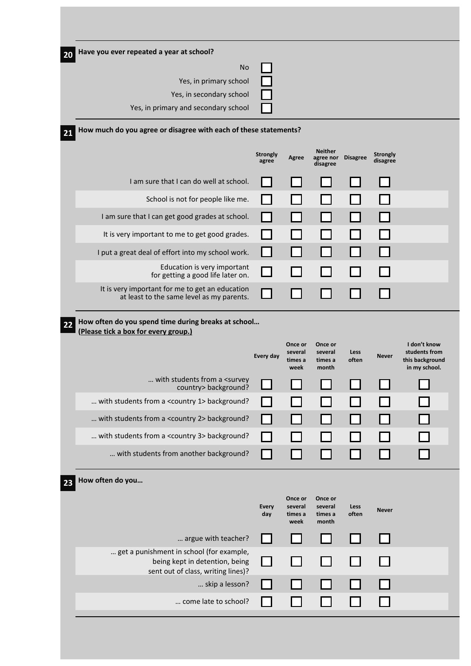| I don't know<br>students from    |
|----------------------------------|
| this background<br>in my school. |
|                                  |
|                                  |
|                                  |
|                                  |
|                                  |
|                                  |
|                                  |
|                                  |
|                                  |
|                                  |
|                                  |
|                                  |
|                                  |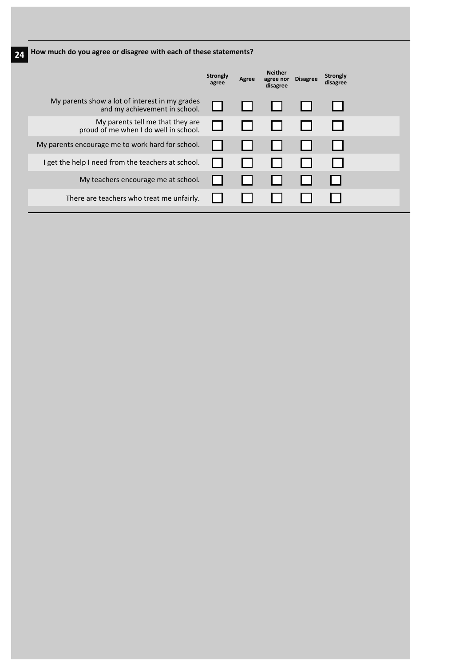**24 How much do you agree or disagree with each of these statements?**

|                                                                                 | <b>Strongly</b><br>agree | Agree | <b>Neither</b><br>agree nor<br>disagree | <b>Disagree</b> | <b>Strongly</b><br>disagree |  |
|---------------------------------------------------------------------------------|--------------------------|-------|-----------------------------------------|-----------------|-----------------------------|--|
| My parents show a lot of interest in my grades<br>and my achievement in school. |                          |       |                                         |                 |                             |  |
| My parents tell me that they are<br>proud of me when I do well in school.       |                          |       |                                         |                 |                             |  |
| My parents encourage me to work hard for school.                                |                          |       |                                         |                 |                             |  |
| I get the help I need from the teachers at school.                              |                          |       |                                         |                 |                             |  |
| My teachers encourage me at school.                                             |                          |       |                                         |                 |                             |  |
| There are teachers who treat me unfairly.                                       |                          |       |                                         |                 |                             |  |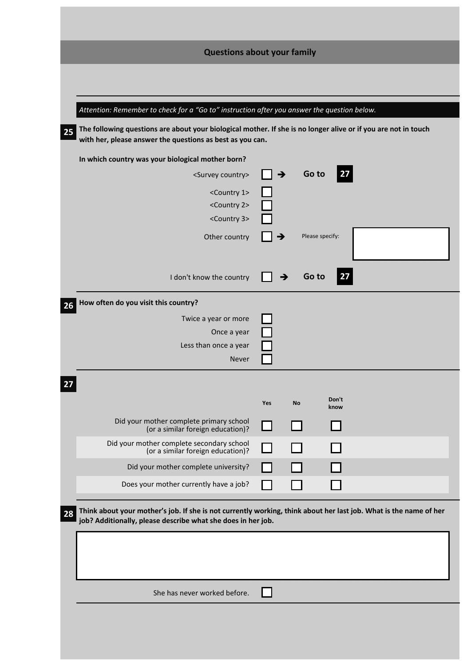| <b>Questions about your family</b>                                                                                                                                                      |     |               |                 |               |  |  |
|-----------------------------------------------------------------------------------------------------------------------------------------------------------------------------------------|-----|---------------|-----------------|---------------|--|--|
|                                                                                                                                                                                         |     |               |                 |               |  |  |
| Attention: Remember to check for a "Go to" instruction after you answer the question below.                                                                                             |     |               |                 |               |  |  |
| The following questions are about your biological mother. If she is no longer alive or if you are not in touch<br>25<br>with her, please answer the questions as best as you can.       |     |               |                 |               |  |  |
| In which country was your biological mother born?                                                                                                                                       |     |               |                 |               |  |  |
| <survey country=""></survey>                                                                                                                                                            |     | $\rightarrow$ | Go to           | 27            |  |  |
| <country 1=""></country>                                                                                                                                                                |     |               |                 |               |  |  |
| <country 2=""><br/><country 3=""></country></country>                                                                                                                                   |     |               |                 |               |  |  |
| Other country                                                                                                                                                                           |     |               | Please specify: |               |  |  |
|                                                                                                                                                                                         |     |               |                 |               |  |  |
| I don't know the country                                                                                                                                                                |     |               | Go to           | <u>  27</u>   |  |  |
| How often do you visit this country?<br>26                                                                                                                                              |     |               |                 |               |  |  |
| Twice a year or more                                                                                                                                                                    |     |               |                 |               |  |  |
| Once a year                                                                                                                                                                             |     |               |                 |               |  |  |
| Less than once a year<br>Never                                                                                                                                                          |     |               |                 |               |  |  |
|                                                                                                                                                                                         |     |               |                 |               |  |  |
|                                                                                                                                                                                         | Yes | No            |                 | Don't<br>know |  |  |
| Did your mother complete primary school<br>(or a similar foreign education)?                                                                                                            |     |               |                 |               |  |  |
| Did your mother complete secondary school<br>(or a similar foreign education)?                                                                                                          |     |               |                 |               |  |  |
| Did your mother complete university?                                                                                                                                                    |     |               |                 |               |  |  |
| Does your mother currently have a job?                                                                                                                                                  |     |               |                 |               |  |  |
| Think about your mother's job. If she is not currently working, think about her last job. What is the name of her<br>28<br>job? Additionally, please describe what she does in her job. |     |               |                 |               |  |  |
|                                                                                                                                                                                         |     |               |                 |               |  |  |
|                                                                                                                                                                                         |     |               |                 |               |  |  |
| She has never worked before.                                                                                                                                                            |     |               |                 |               |  |  |
|                                                                                                                                                                                         |     |               |                 |               |  |  |
|                                                                                                                                                                                         |     |               |                 |               |  |  |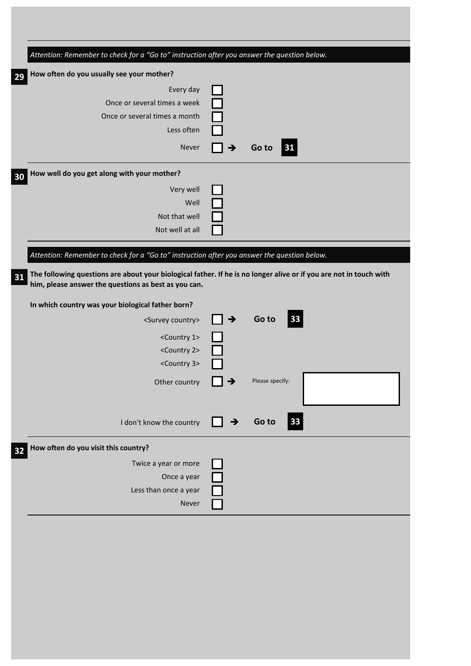| Attention: Remember to check for a "Go to" instruction after you answer the question below.                                                                                |               |                 |  |
|----------------------------------------------------------------------------------------------------------------------------------------------------------------------------|---------------|-----------------|--|
| How often do you usually see your mother?                                                                                                                                  |               |                 |  |
| Every day                                                                                                                                                                  |               |                 |  |
| Once or several times a week                                                                                                                                               |               |                 |  |
| Once or several times a month                                                                                                                                              |               |                 |  |
| Less often                                                                                                                                                                 |               |                 |  |
| Never                                                                                                                                                                      |               | Go to<br>  31   |  |
| How well do you get along with your mother?                                                                                                                                |               |                 |  |
| Very well                                                                                                                                                                  |               |                 |  |
| Well                                                                                                                                                                       |               |                 |  |
| Not that well                                                                                                                                                              |               |                 |  |
| Not well at all                                                                                                                                                            |               |                 |  |
|                                                                                                                                                                            |               |                 |  |
| Attention: Remember to check for a "Go to" instruction after you answer the question below.                                                                                |               |                 |  |
|                                                                                                                                                                            |               |                 |  |
| The following questions are about your biological father. If he is no longer alive or if you are not in touch with<br>him, please answer the questions as best as you can. |               |                 |  |
| In which country was your biological father born?                                                                                                                          |               |                 |  |
| <survey country=""></survey>                                                                                                                                               | $\rightarrow$ | 33<br>Go to     |  |
| <country 1=""></country>                                                                                                                                                   |               |                 |  |
| <country 2=""></country>                                                                                                                                                   |               |                 |  |
| <country 3=""></country>                                                                                                                                                   |               |                 |  |
| Other country                                                                                                                                                              |               | Please specify: |  |
|                                                                                                                                                                            |               |                 |  |
|                                                                                                                                                                            |               |                 |  |
| I don't know the country                                                                                                                                                   | →             | 33<br>Go to     |  |
| How often do you visit this country?                                                                                                                                       |               |                 |  |
| Twice a year or more                                                                                                                                                       |               |                 |  |
| Once a year                                                                                                                                                                |               |                 |  |
| Less than once a year                                                                                                                                                      |               |                 |  |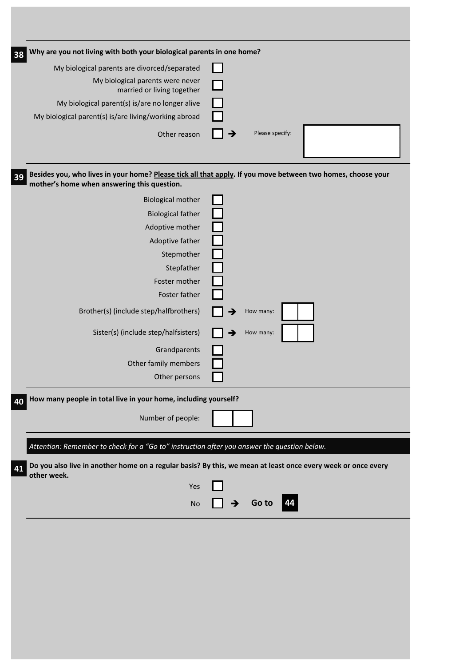| Why are you not living with both your biological parents in one home?<br>38                 |                                                                                                              |
|---------------------------------------------------------------------------------------------|--------------------------------------------------------------------------------------------------------------|
| My biological parents are divorced/separated                                                |                                                                                                              |
| My biological parents were never<br>married or living together                              |                                                                                                              |
| My biological parent(s) is/are no longer alive                                              |                                                                                                              |
| My biological parent(s) is/are living/working abroad                                        |                                                                                                              |
| Other reason                                                                                | Please specify:<br>→                                                                                         |
| 39<br>mother's home when answering this question.                                           | Besides you, who lives in your home? Please tick all that apply. If you move between two homes, choose your  |
| <b>Biological mother</b>                                                                    |                                                                                                              |
| <b>Biological father</b>                                                                    |                                                                                                              |
| Adoptive mother                                                                             |                                                                                                              |
| Adoptive father                                                                             |                                                                                                              |
| Stepmother<br>Stepfather                                                                    |                                                                                                              |
| Foster mother                                                                               |                                                                                                              |
| Foster father                                                                               |                                                                                                              |
| Brother(s) (include step/halfbrothers)                                                      | How many:                                                                                                    |
| Sister(s) (include step/halfsisters)                                                        | How many:                                                                                                    |
| Grandparents                                                                                |                                                                                                              |
| Other family members                                                                        |                                                                                                              |
| Other persons                                                                               |                                                                                                              |
| How many people in total live in your home, including yourself?<br>40                       |                                                                                                              |
| Number of people:                                                                           |                                                                                                              |
| Attention: Remember to check for a "Go to" instruction after you answer the question below. |                                                                                                              |
| 41                                                                                          | Do you also live in another home on a regular basis? By this, we mean at least once every week or once every |
| other week.<br>Yes                                                                          |                                                                                                              |
| <b>No</b>                                                                                   | <b>Go to</b><br>→<br>44                                                                                      |
|                                                                                             |                                                                                                              |
|                                                                                             |                                                                                                              |
|                                                                                             |                                                                                                              |
|                                                                                             |                                                                                                              |
|                                                                                             |                                                                                                              |
|                                                                                             |                                                                                                              |
|                                                                                             |                                                                                                              |
|                                                                                             |                                                                                                              |
|                                                                                             |                                                                                                              |

T,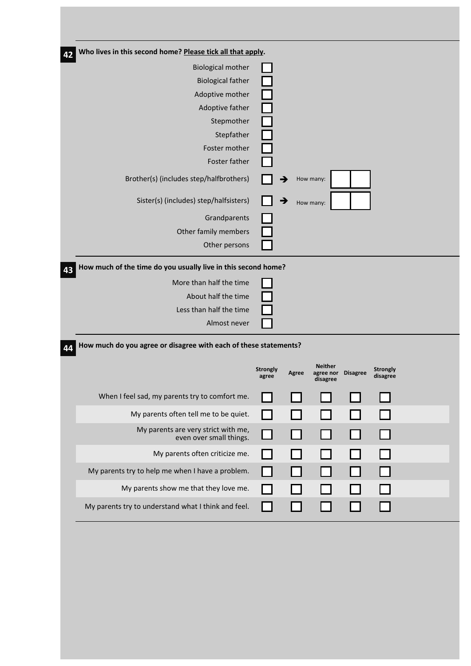| <b>Biological mother</b>                                         |                          |       |                                         |                 |                             |  |
|------------------------------------------------------------------|--------------------------|-------|-----------------------------------------|-----------------|-----------------------------|--|
| <b>Biological father</b>                                         |                          |       |                                         |                 |                             |  |
| Adoptive mother                                                  |                          |       |                                         |                 |                             |  |
| Adoptive father                                                  |                          |       |                                         |                 |                             |  |
| Stepmother                                                       |                          |       |                                         |                 |                             |  |
| Stepfather                                                       |                          |       |                                         |                 |                             |  |
| Foster mother                                                    |                          |       |                                         |                 |                             |  |
| Foster father                                                    |                          |       |                                         |                 |                             |  |
| Brother(s) (includes step/halfbrothers)                          | →                        |       | How many:                               |                 |                             |  |
| Sister(s) (includes) step/halfsisters)                           | →                        |       | How many:                               |                 |                             |  |
| Grandparents                                                     |                          |       |                                         |                 |                             |  |
| Other family members                                             |                          |       |                                         |                 |                             |  |
| Other persons                                                    |                          |       |                                         |                 |                             |  |
|                                                                  |                          |       |                                         |                 |                             |  |
| About half the time<br>Less than half the time<br>Almost never   |                          |       |                                         |                 |                             |  |
| How much do you agree or disagree with each of these statements? |                          |       |                                         |                 |                             |  |
|                                                                  | <b>Strongly</b><br>agree | Agree | <b>Neither</b><br>agree nor<br>disagree | <b>Disagree</b> | <b>Strongly</b><br>disagree |  |
| When I feel sad, my parents try to comfort me.                   |                          |       |                                         |                 |                             |  |
| My parents often tell me to be quiet.                            |                          |       |                                         |                 |                             |  |
| My parents are very strict with me,<br>even over small things.   |                          |       |                                         |                 |                             |  |
| My parents often criticize me.                                   |                          |       |                                         |                 |                             |  |
| My parents try to help me when I have a problem.                 |                          |       |                                         |                 |                             |  |
| My parents show me that they love me.                            |                          |       |                                         |                 |                             |  |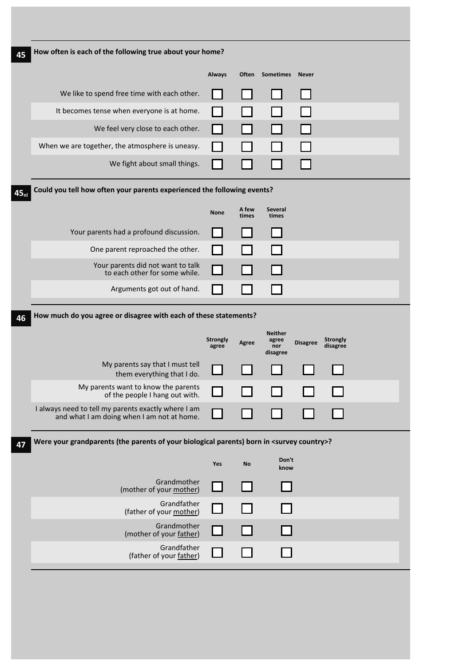|                                                                                                       | <b>Always</b>            | Often          | <b>Sometimes</b>               | <b>Never</b>    |                             |  |
|-------------------------------------------------------------------------------------------------------|--------------------------|----------------|--------------------------------|-----------------|-----------------------------|--|
| We like to spend free time with each other.                                                           |                          |                |                                |                 |                             |  |
| It becomes tense when everyone is at home.                                                            |                          |                |                                |                 |                             |  |
| We feel very close to each other.                                                                     |                          |                |                                |                 |                             |  |
| When we are together, the atmosphere is uneasy.                                                       |                          |                |                                |                 |                             |  |
| We fight about small things.                                                                          |                          |                |                                |                 |                             |  |
| Could you tell how often your parents experienced the following events?                               |                          |                |                                |                 |                             |  |
|                                                                                                       | <b>None</b>              | A few<br>times | Several<br>times               |                 |                             |  |
| Your parents had a profound discussion.                                                               |                          |                |                                |                 |                             |  |
| One parent reproached the other.                                                                      |                          |                |                                |                 |                             |  |
| Your parents did not want to talk<br>to each other for some while.                                    |                          |                |                                |                 |                             |  |
| Arguments got out of hand.                                                                            |                          |                |                                |                 |                             |  |
|                                                                                                       | <b>Strongly</b><br>agree | Agree          | <b>Neither</b><br>agree<br>nor | <b>Disagree</b> | <b>Strongly</b><br>disagree |  |
|                                                                                                       |                          |                | disagree                       |                 |                             |  |
| My parents say that I must tell<br>them everything that I do.                                         |                          |                |                                |                 |                             |  |
| My parents want to know the parents<br>of the people I hang out with.                                 |                          |                |                                |                 |                             |  |
| I always need to tell my parents exactly where I am<br>and what I am doing when I am not at home.     |                          |                |                                |                 |                             |  |
| Were your grandparents (the parents of your biological parents) born in <survey country="">?</survey> |                          |                |                                |                 |                             |  |
|                                                                                                       | Yes                      | No             | Don't<br>know                  |                 |                             |  |
| Grandmother<br>(mother of your mother)                                                                |                          |                |                                |                 |                             |  |
| Grandfather<br>(father of your mother)                                                                |                          |                |                                |                 |                             |  |
| Grandmother<br>(mother of your father)                                                                |                          |                |                                |                 |                             |  |
| Grandfather<br>(father of your father)                                                                |                          |                |                                |                 |                             |  |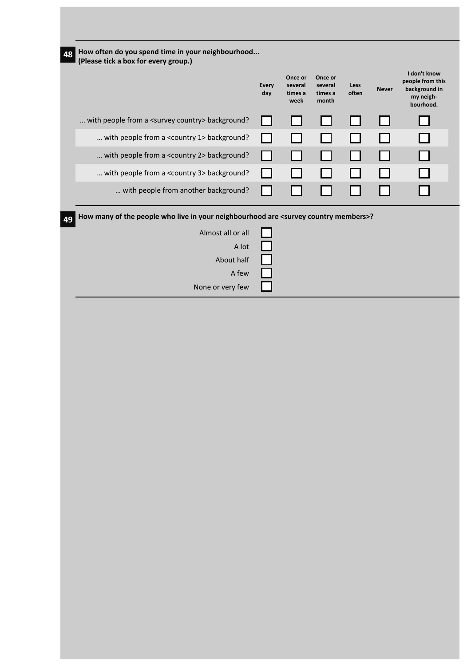| Once or<br>Once or<br>several<br>several<br><b>Every</b><br>Less<br><b>Never</b><br>day<br>times a<br>times a<br>often<br>my neigh-<br>month<br>week<br>with people from a <survey country=""> background?<br/><math>\mathcal{L}</math><br/> with people from a <country 1=""> background?<br/> with people from a <country 2=""> background?<br/>. .<br/> with people from a <country 3=""> background?<br/> with people from another background?<br/>How many of the people who live in your neighbourhood are <survey country="" members="">?<br/>Almost all or all<br/>A lot<br/>About half<br/>A few<br/>None or very few</survey></country></country></country></survey> | (Please tick a box for every group.) |  |  | I don't know                                   |
|--------------------------------------------------------------------------------------------------------------------------------------------------------------------------------------------------------------------------------------------------------------------------------------------------------------------------------------------------------------------------------------------------------------------------------------------------------------------------------------------------------------------------------------------------------------------------------------------------------------------------------------------------------------------------------|--------------------------------------|--|--|------------------------------------------------|
|                                                                                                                                                                                                                                                                                                                                                                                                                                                                                                                                                                                                                                                                                |                                      |  |  | people from this<br>background in<br>bourhood. |
|                                                                                                                                                                                                                                                                                                                                                                                                                                                                                                                                                                                                                                                                                |                                      |  |  |                                                |
|                                                                                                                                                                                                                                                                                                                                                                                                                                                                                                                                                                                                                                                                                |                                      |  |  |                                                |
|                                                                                                                                                                                                                                                                                                                                                                                                                                                                                                                                                                                                                                                                                |                                      |  |  |                                                |
|                                                                                                                                                                                                                                                                                                                                                                                                                                                                                                                                                                                                                                                                                |                                      |  |  |                                                |
|                                                                                                                                                                                                                                                                                                                                                                                                                                                                                                                                                                                                                                                                                |                                      |  |  |                                                |
|                                                                                                                                                                                                                                                                                                                                                                                                                                                                                                                                                                                                                                                                                |                                      |  |  |                                                |
|                                                                                                                                                                                                                                                                                                                                                                                                                                                                                                                                                                                                                                                                                |                                      |  |  |                                                |
|                                                                                                                                                                                                                                                                                                                                                                                                                                                                                                                                                                                                                                                                                |                                      |  |  |                                                |
|                                                                                                                                                                                                                                                                                                                                                                                                                                                                                                                                                                                                                                                                                |                                      |  |  |                                                |
|                                                                                                                                                                                                                                                                                                                                                                                                                                                                                                                                                                                                                                                                                |                                      |  |  |                                                |
|                                                                                                                                                                                                                                                                                                                                                                                                                                                                                                                                                                                                                                                                                |                                      |  |  |                                                |
|                                                                                                                                                                                                                                                                                                                                                                                                                                                                                                                                                                                                                                                                                |                                      |  |  |                                                |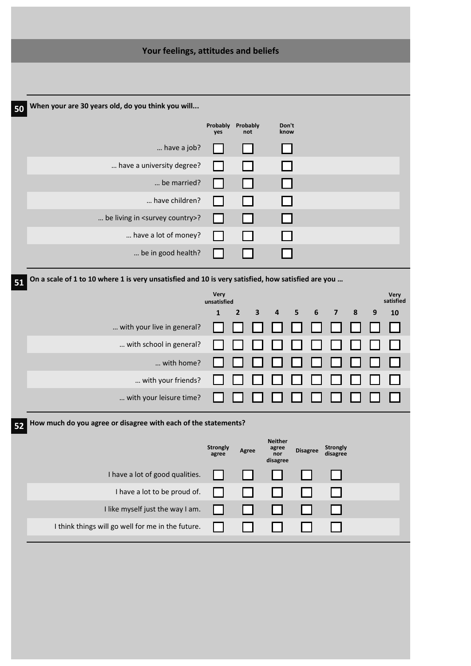|    | Your feelings, attitudes and beliefs                                                              |                            |                     |                         |                 |                         |   |                  |                   |
|----|---------------------------------------------------------------------------------------------------|----------------------------|---------------------|-------------------------|-----------------|-------------------------|---|------------------|-------------------|
|    |                                                                                                   |                            |                     |                         |                 |                         |   |                  |                   |
|    |                                                                                                   |                            |                     |                         |                 |                         |   |                  |                   |
| 50 | When your are 30 years old, do you think you will                                                 |                            |                     |                         |                 |                         |   |                  |                   |
|    |                                                                                                   | Probably<br>yes            | Probably<br>not     | Don't<br>know           |                 |                         |   |                  |                   |
|    | have a job?                                                                                       |                            |                     |                         |                 |                         |   |                  |                   |
|    | have a university degree?                                                                         |                            |                     |                         |                 |                         |   |                  |                   |
|    | be married?                                                                                       |                            |                     |                         |                 |                         |   |                  |                   |
|    | have children?                                                                                    |                            |                     |                         |                 |                         |   |                  |                   |
|    | be living in <survey country="">?</survey>                                                        | ΙI                         |                     |                         |                 |                         |   |                  |                   |
|    | have a lot of money?                                                                              |                            |                     |                         |                 |                         |   |                  |                   |
|    | be in good health?                                                                                |                            |                     |                         |                 |                         |   |                  |                   |
| 51 | On a scale of 1 to 10 where 1 is very unsatisfied and 10 is very satisfied, how satisfied are you |                            |                     |                         |                 |                         |   |                  |                   |
|    |                                                                                                   | <b>Very</b><br>unsatisfied |                     |                         |                 |                         |   |                  | Very<br>satisfied |
|    |                                                                                                   | $\mathbf{1}$               | $\overline{2}$<br>3 | 4<br>5                  | 6               | $\overline{\mathbf{z}}$ | 8 | $\boldsymbol{9}$ | 10                |
|    | with your live in general?                                                                        |                            |                     |                         |                 |                         |   |                  |                   |
|    | with school in general?                                                                           |                            |                     |                         |                 |                         |   |                  |                   |
|    | with home?                                                                                        |                            |                     |                         |                 |                         |   |                  |                   |
|    | with your friends?                                                                                |                            |                     |                         |                 |                         |   |                  |                   |
|    | with your leisure time?                                                                           |                            |                     |                         |                 |                         |   |                  |                   |
| 52 | How much do you agree or disagree with each of the statements?                                    |                            |                     |                         |                 |                         |   |                  |                   |
|    |                                                                                                   | <b>Strongly</b>            |                     | <b>Neither</b><br>agree |                 | <b>Strongly</b>         |   |                  |                   |
|    |                                                                                                   | agree                      | Agree               | nor<br>disagree         | <b>Disagree</b> | disagree                |   |                  |                   |
|    | I have a lot of good qualities.                                                                   |                            |                     |                         |                 |                         |   |                  |                   |
|    | I have a lot to be proud of.                                                                      |                            |                     |                         |                 |                         |   |                  |                   |
|    | I like myself just the way I am.                                                                  |                            |                     |                         |                 |                         |   |                  |                   |
|    | I think things will go well for me in the future.                                                 |                            |                     |                         |                 |                         |   |                  |                   |
|    |                                                                                                   |                            |                     |                         |                 |                         |   |                  |                   |
|    |                                                                                                   |                            |                     |                         |                 |                         |   |                  |                   |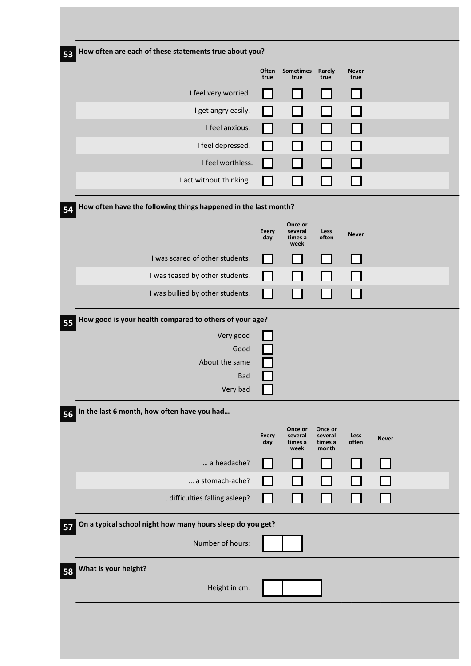| 53 | How often are each of these statements true about you?          |                     |                                       |                                        |                      |              |  |
|----|-----------------------------------------------------------------|---------------------|---------------------------------------|----------------------------------------|----------------------|--------------|--|
|    |                                                                 | Often<br>true       | Sometimes Rarely<br>true              | true                                   | <b>Never</b><br>true |              |  |
|    | I feel very worried.                                            |                     |                                       |                                        |                      |              |  |
|    | I get angry easily.                                             |                     |                                       |                                        |                      |              |  |
|    | I feel anxious.                                                 | $\blacksquare$      |                                       |                                        |                      |              |  |
|    | I feel depressed.                                               |                     |                                       |                                        |                      |              |  |
|    | I feel worthless.                                               | $\mathcal{L}$       |                                       |                                        |                      |              |  |
|    | I act without thinking.                                         |                     |                                       |                                        |                      |              |  |
| 54 | How often have the following things happened in the last month? |                     |                                       |                                        |                      |              |  |
|    |                                                                 | <b>Every</b><br>day | Once or<br>several<br>times a<br>week | Less<br>often                          | <b>Never</b>         |              |  |
|    | I was scared of other students.                                 |                     |                                       |                                        |                      |              |  |
|    | I was teased by other students.                                 | $\sim$              |                                       |                                        |                      |              |  |
|    | I was bullied by other students.                                | $\sim$              |                                       |                                        |                      |              |  |
| 55 | How good is your health compared to others of your age?         |                     |                                       |                                        |                      |              |  |
|    | Very good                                                       |                     |                                       |                                        |                      |              |  |
|    | Good<br>About the same                                          |                     |                                       |                                        |                      |              |  |
|    | <b>Bad</b>                                                      |                     |                                       |                                        |                      |              |  |
|    | Very bad                                                        | ப                   |                                       |                                        |                      |              |  |
| 56 | In the last 6 month, how often have you had                     |                     |                                       |                                        |                      |              |  |
|    |                                                                 | <b>Every</b><br>day | Once or<br>several<br>times a<br>week | Once or<br>several<br>times a<br>month | Less<br>often        | <b>Never</b> |  |
|    | a headache?                                                     |                     |                                       |                                        |                      |              |  |
|    | a stomach-ache?                                                 | $\mathcal{L}$       |                                       |                                        |                      |              |  |
|    | difficulties falling asleep?                                    | $\blacksquare$      |                                       |                                        |                      |              |  |
| 57 | On a typical school night how many hours sleep do you get?      |                     |                                       |                                        |                      |              |  |
|    | Number of hours:                                                |                     |                                       |                                        |                      |              |  |
| 58 | What is your height?                                            |                     |                                       |                                        |                      |              |  |
|    | Height in cm:                                                   |                     |                                       |                                        |                      |              |  |
|    |                                                                 |                     |                                       |                                        |                      |              |  |
|    |                                                                 |                     |                                       |                                        |                      |              |  |
|    |                                                                 |                     |                                       |                                        |                      |              |  |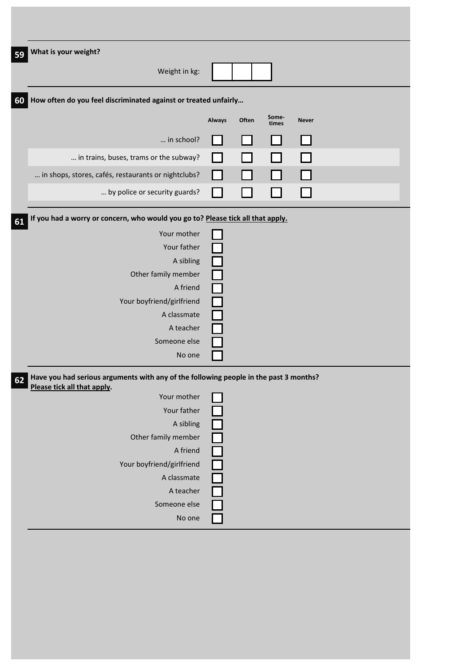| What is your weight?                                                                                                 |        |       |                |              |  |
|----------------------------------------------------------------------------------------------------------------------|--------|-------|----------------|--------------|--|
| Weight in kg:                                                                                                        |        |       |                |              |  |
| How often do you feel discriminated against or treated unfairly                                                      |        |       |                |              |  |
|                                                                                                                      | Always | Often | Some-<br>times | <b>Never</b> |  |
| in school?                                                                                                           |        |       |                |              |  |
| in trains, buses, trams or the subway?                                                                               |        |       |                |              |  |
| in shops, stores, cafés, restaurants or nightclubs?                                                                  |        |       |                |              |  |
| by police or security guards?                                                                                        |        |       |                |              |  |
| If you had a worry or concern, who would you go to? Please tick all that apply.                                      |        |       |                |              |  |
| Your mother                                                                                                          |        |       |                |              |  |
| Your father                                                                                                          |        |       |                |              |  |
| A sibling                                                                                                            |        |       |                |              |  |
| Other family member                                                                                                  |        |       |                |              |  |
| A friend                                                                                                             |        |       |                |              |  |
| Your boyfriend/girlfriend                                                                                            |        |       |                |              |  |
| A classmate                                                                                                          |        |       |                |              |  |
| A teacher                                                                                                            |        |       |                |              |  |
| Someone else                                                                                                         |        |       |                |              |  |
| No one                                                                                                               |        |       |                |              |  |
| Have you had serious arguments with any of the following people in the past 3 months?<br>Please tick all that apply. |        |       |                |              |  |
| Your mother                                                                                                          |        |       |                |              |  |
| Your father                                                                                                          |        |       |                |              |  |
| A sibling                                                                                                            |        |       |                |              |  |
| Other family member                                                                                                  |        |       |                |              |  |
| A friend                                                                                                             |        |       |                |              |  |
| Your boyfriend/girlfriend                                                                                            |        |       |                |              |  |
| A classmate                                                                                                          |        |       |                |              |  |
| A teacher                                                                                                            |        |       |                |              |  |
| Someone else                                                                                                         |        |       |                |              |  |
| No one                                                                                                               |        |       |                |              |  |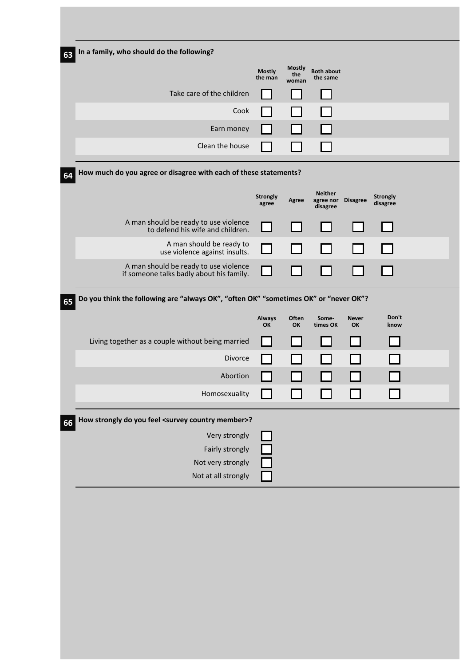| In a family, who should do the following?                                            |                          |                               |                                |                    |                 |  |
|--------------------------------------------------------------------------------------|--------------------------|-------------------------------|--------------------------------|--------------------|-----------------|--|
|                                                                                      | <b>Mostly</b><br>the man | <b>Mostly</b><br>the<br>woman | <b>Both about</b><br>the same  |                    |                 |  |
| Take care of the children                                                            |                          |                               |                                |                    |                 |  |
| Cook                                                                                 |                          |                               |                                |                    |                 |  |
| Earn money                                                                           |                          |                               |                                |                    |                 |  |
| Clean the house                                                                      |                          |                               |                                |                    |                 |  |
| How much do you agree or disagree with each of these statements?                     |                          |                               |                                |                    |                 |  |
|                                                                                      | Strongly                 |                               | <b>Neither</b>                 |                    | <b>Strongly</b> |  |
|                                                                                      | agree                    | Agree                         | agree nor Disagree<br>disagree |                    | disagree        |  |
| A man should be ready to use violence<br>to defend his wife and children.            |                          |                               |                                |                    |                 |  |
| A man should be ready to<br>use violence against insults.                            |                          |                               |                                |                    |                 |  |
| A man should be ready to use violence                                                |                          |                               |                                |                    |                 |  |
| if someone talks badly about his family.                                             |                          |                               |                                |                    |                 |  |
| Do you think the following are "always OK", "often OK" "sometimes OK" or "never OK"? |                          |                               |                                |                    |                 |  |
|                                                                                      | <b>Always</b><br>OK      | Often<br>OK                   | Some-<br>times OK              | <b>Never</b><br>OK | Don't<br>know   |  |
| Living together as a couple without being married                                    |                          |                               |                                |                    |                 |  |
| Divorce                                                                              |                          |                               |                                |                    |                 |  |
| Abortion                                                                             |                          |                               |                                |                    |                 |  |
| Homosexuality                                                                        |                          |                               |                                |                    |                 |  |
| How strongly do you feel <survey country="" member="">?</survey>                     |                          |                               |                                |                    |                 |  |
| Very strongly                                                                        |                          |                               |                                |                    |                 |  |
|                                                                                      |                          |                               |                                |                    |                 |  |
| Fairly strongly                                                                      |                          |                               |                                |                    |                 |  |
| Not very strongly                                                                    |                          |                               |                                |                    |                 |  |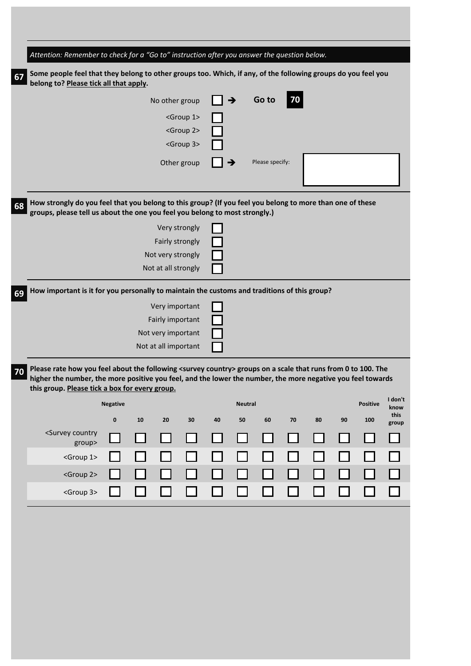| Attention: Remember to check for a "Go to" instruction after you answer the question below.                                                                                                                                                                                                 |                 |    |                      |                      |    |                |                 |    |    |    |                 |                    |
|---------------------------------------------------------------------------------------------------------------------------------------------------------------------------------------------------------------------------------------------------------------------------------------------|-----------------|----|----------------------|----------------------|----|----------------|-----------------|----|----|----|-----------------|--------------------|
| Some people feel that they belong to other groups too. Which, if any, of the following groups do you feel you<br>belong to? Please tick all that apply.                                                                                                                                     |                 |    |                      |                      |    |                |                 |    |    |    |                 |                    |
|                                                                                                                                                                                                                                                                                             |                 |    | No other group       |                      |    | →              | Go to           | 70 |    |    |                 |                    |
|                                                                                                                                                                                                                                                                                             |                 |    |                      | <group 1=""></group> |    |                |                 |    |    |    |                 |                    |
|                                                                                                                                                                                                                                                                                             |                 |    |                      | <group 2=""></group> |    |                |                 |    |    |    |                 |                    |
|                                                                                                                                                                                                                                                                                             |                 |    |                      | <group 3=""></group> |    |                |                 |    |    |    |                 |                    |
|                                                                                                                                                                                                                                                                                             |                 |    |                      | Other group          |    |                | Please specify: |    |    |    |                 |                    |
|                                                                                                                                                                                                                                                                                             |                 |    |                      |                      |    |                |                 |    |    |    |                 |                    |
| How strongly do you feel that you belong to this group? (If you feel you belong to more than one of these<br>groups, please tell us about the one you feel you belong to most strongly.)                                                                                                    |                 |    |                      |                      |    |                |                 |    |    |    |                 |                    |
|                                                                                                                                                                                                                                                                                             |                 |    |                      | Very strongly        |    |                |                 |    |    |    |                 |                    |
|                                                                                                                                                                                                                                                                                             |                 |    | Fairly strongly      |                      |    |                |                 |    |    |    |                 |                    |
|                                                                                                                                                                                                                                                                                             |                 |    | Not very strongly    |                      |    |                |                 |    |    |    |                 |                    |
|                                                                                                                                                                                                                                                                                             |                 |    | Not at all strongly  |                      |    |                |                 |    |    |    |                 |                    |
| How important is it for you personally to maintain the customs and traditions of this group?                                                                                                                                                                                                |                 |    |                      |                      |    |                |                 |    |    |    |                 |                    |
|                                                                                                                                                                                                                                                                                             |                 |    | Very important       |                      |    |                |                 |    |    |    |                 |                    |
|                                                                                                                                                                                                                                                                                             |                 |    | Fairly important     |                      |    |                |                 |    |    |    |                 |                    |
|                                                                                                                                                                                                                                                                                             |                 |    | Not very important   |                      |    |                |                 |    |    |    |                 |                    |
|                                                                                                                                                                                                                                                                                             |                 |    | Not at all important |                      |    |                |                 |    |    |    |                 |                    |
| Please rate how you feel about the following <survey country=""> groups on a scale that runs from 0 to 100. The<br/>higher the number, the more positive you feel, and the lower the number, the more negative you feel towards<br/>this group. Please tick a box for every group.</survey> |                 |    |                      |                      |    |                |                 |    |    |    |                 |                    |
|                                                                                                                                                                                                                                                                                             | <b>Negative</b> |    |                      |                      |    | <b>Neutral</b> |                 |    |    |    | <b>Positive</b> | I don't<br>know    |
|                                                                                                                                                                                                                                                                                             | $\pmb{0}$       | 10 | 20                   | 30                   | 40 | 50             | 60              | 70 | 80 | 90 | 100             | this               |
| <survey country<br="">group&gt;</survey>                                                                                                                                                                                                                                                    |                 |    |                      |                      |    |                |                 |    |    |    |                 | group<br>$\sim 10$ |
| <group 1=""></group>                                                                                                                                                                                                                                                                        |                 |    |                      |                      |    |                |                 |    |    |    |                 |                    |
| <group 2=""></group>                                                                                                                                                                                                                                                                        |                 |    |                      |                      |    |                |                 |    |    |    |                 |                    |
| <group 3=""></group>                                                                                                                                                                                                                                                                        |                 |    |                      |                      |    |                |                 |    |    |    |                 |                    |
|                                                                                                                                                                                                                                                                                             |                 |    |                      |                      |    |                |                 |    |    |    |                 |                    |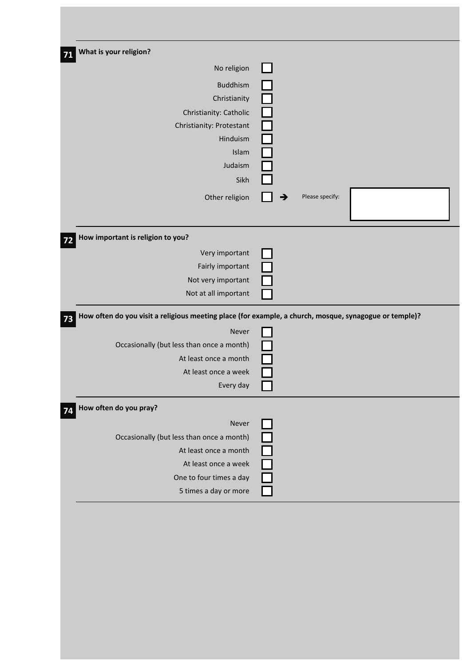| What is your religion?                                                                                 |                  |                 |  |
|--------------------------------------------------------------------------------------------------------|------------------|-----------------|--|
| No religion                                                                                            |                  |                 |  |
|                                                                                                        |                  |                 |  |
| <b>Buddhism</b>                                                                                        |                  |                 |  |
| Christianity                                                                                           |                  |                 |  |
| Christianity: Catholic                                                                                 |                  |                 |  |
| Christianity: Protestant                                                                               |                  |                 |  |
| Hinduism                                                                                               |                  |                 |  |
| Islam                                                                                                  |                  |                 |  |
| Judaism                                                                                                |                  |                 |  |
| Sikh                                                                                                   |                  |                 |  |
| Other religion                                                                                         | →                | Please specify: |  |
|                                                                                                        |                  |                 |  |
|                                                                                                        |                  |                 |  |
| How important is religion to you?                                                                      |                  |                 |  |
| Very important                                                                                         |                  |                 |  |
|                                                                                                        |                  |                 |  |
| Fairly important                                                                                       |                  |                 |  |
| Not very important                                                                                     |                  |                 |  |
| Not at all important                                                                                   |                  |                 |  |
|                                                                                                        |                  |                 |  |
| How often do you visit a religious meeting place (for example, a church, mosque, synagogue or temple)? |                  |                 |  |
| Never                                                                                                  |                  |                 |  |
| Occasionally (but less than once a month)                                                              |                  |                 |  |
| At least once a month                                                                                  |                  |                 |  |
| At least once a week                                                                                   |                  |                 |  |
| Every day                                                                                              |                  |                 |  |
| How often do you pray?                                                                                 |                  |                 |  |
|                                                                                                        |                  |                 |  |
| Never                                                                                                  |                  |                 |  |
| Occasionally (but less than once a month)                                                              |                  |                 |  |
| At least once a month                                                                                  |                  |                 |  |
| At least once a week                                                                                   |                  |                 |  |
| One to four times a day<br>5 times a day or more                                                       | $\frac{1}{\Box}$ |                 |  |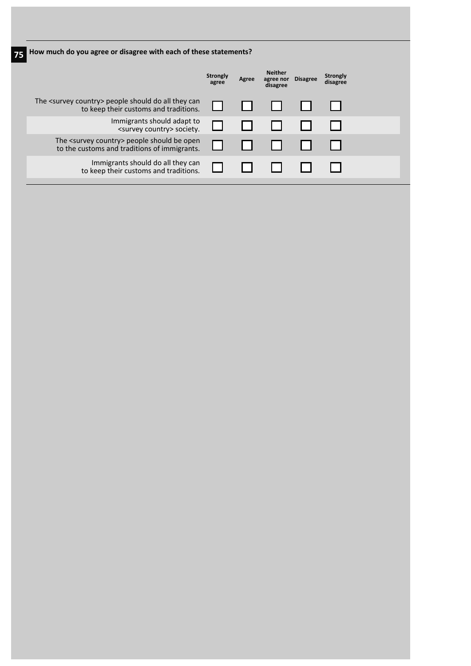| How much do you agree or disagree with each of these statements?                                         |                   |       |                                         |                 |                             |
|----------------------------------------------------------------------------------------------------------|-------------------|-------|-----------------------------------------|-----------------|-----------------------------|
|                                                                                                          | Strongly<br>agree | Agree | <b>Neither</b><br>agree nor<br>disagree | <b>Disagree</b> | <b>Strongly</b><br>disagree |
| The <survey country=""> people should do all they can<br/>to keep their customs and traditions.</survey> |                   |       |                                         |                 |                             |
| Immigrants should adapt to<br><survey country=""> society.</survey>                                      |                   |       |                                         |                 |                             |
| The <survey country=""> people should be open<br/>to the customs and traditions of immigrants.</survey>  |                   |       |                                         |                 |                             |
| Immigrants should do all they can<br>to keep their customs and traditions.                               |                   |       |                                         |                 |                             |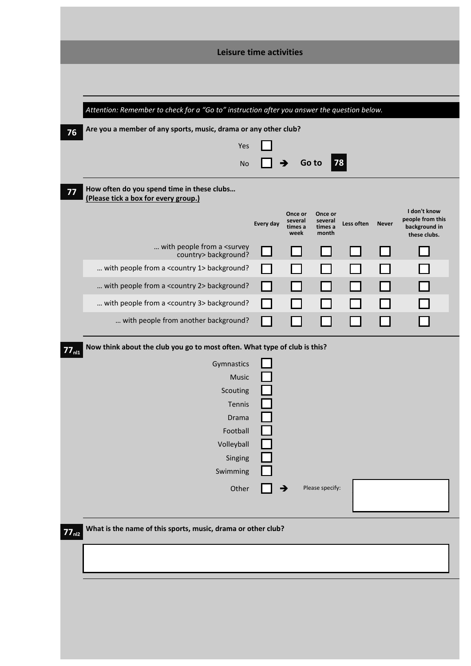| Leisure time activities<br>Attention: Remember to check for a "Go to" instruction after you answer the question below.<br>Are you a member of any sports, music, drama or any other club?<br>76<br>Yes<br><b>78</b><br>Go to<br><b>No</b><br>How often do you spend time in these clubs<br>77<br>(Please tick a box for every group.)<br>I don't know<br>Once or<br>Once or<br>people from this<br>several<br>several<br>Every day<br>Less often<br><b>Never</b><br>background in<br>times a<br>times a<br>week<br>month<br>these clubs.<br>with people from a <survey<br>country&gt; background?<br/> with people from a <country 1=""> background?<br/> with people from a <country 2=""> background?<br/> with people from a <country 3=""> background?<br/> with people from another background?<br/>Now think about the club you go to most often. What type of club is this?<br/><math>77_{nl1}</math><br/>Gymnastics<br/>Music<br/>Scouting<br/>Tennis<br/>Drama<br/>Football<br/>Volleyball<br/>Singing<br/>Swimming</country></country></country></survey<br> |  |
|------------------------------------------------------------------------------------------------------------------------------------------------------------------------------------------------------------------------------------------------------------------------------------------------------------------------------------------------------------------------------------------------------------------------------------------------------------------------------------------------------------------------------------------------------------------------------------------------------------------------------------------------------------------------------------------------------------------------------------------------------------------------------------------------------------------------------------------------------------------------------------------------------------------------------------------------------------------------------------------------------------------------------------------------------------------------|--|
|                                                                                                                                                                                                                                                                                                                                                                                                                                                                                                                                                                                                                                                                                                                                                                                                                                                                                                                                                                                                                                                                        |  |
|                                                                                                                                                                                                                                                                                                                                                                                                                                                                                                                                                                                                                                                                                                                                                                                                                                                                                                                                                                                                                                                                        |  |
|                                                                                                                                                                                                                                                                                                                                                                                                                                                                                                                                                                                                                                                                                                                                                                                                                                                                                                                                                                                                                                                                        |  |
|                                                                                                                                                                                                                                                                                                                                                                                                                                                                                                                                                                                                                                                                                                                                                                                                                                                                                                                                                                                                                                                                        |  |
|                                                                                                                                                                                                                                                                                                                                                                                                                                                                                                                                                                                                                                                                                                                                                                                                                                                                                                                                                                                                                                                                        |  |
|                                                                                                                                                                                                                                                                                                                                                                                                                                                                                                                                                                                                                                                                                                                                                                                                                                                                                                                                                                                                                                                                        |  |
|                                                                                                                                                                                                                                                                                                                                                                                                                                                                                                                                                                                                                                                                                                                                                                                                                                                                                                                                                                                                                                                                        |  |
|                                                                                                                                                                                                                                                                                                                                                                                                                                                                                                                                                                                                                                                                                                                                                                                                                                                                                                                                                                                                                                                                        |  |
|                                                                                                                                                                                                                                                                                                                                                                                                                                                                                                                                                                                                                                                                                                                                                                                                                                                                                                                                                                                                                                                                        |  |
|                                                                                                                                                                                                                                                                                                                                                                                                                                                                                                                                                                                                                                                                                                                                                                                                                                                                                                                                                                                                                                                                        |  |
|                                                                                                                                                                                                                                                                                                                                                                                                                                                                                                                                                                                                                                                                                                                                                                                                                                                                                                                                                                                                                                                                        |  |
|                                                                                                                                                                                                                                                                                                                                                                                                                                                                                                                                                                                                                                                                                                                                                                                                                                                                                                                                                                                                                                                                        |  |
|                                                                                                                                                                                                                                                                                                                                                                                                                                                                                                                                                                                                                                                                                                                                                                                                                                                                                                                                                                                                                                                                        |  |
|                                                                                                                                                                                                                                                                                                                                                                                                                                                                                                                                                                                                                                                                                                                                                                                                                                                                                                                                                                                                                                                                        |  |
|                                                                                                                                                                                                                                                                                                                                                                                                                                                                                                                                                                                                                                                                                                                                                                                                                                                                                                                                                                                                                                                                        |  |
|                                                                                                                                                                                                                                                                                                                                                                                                                                                                                                                                                                                                                                                                                                                                                                                                                                                                                                                                                                                                                                                                        |  |
|                                                                                                                                                                                                                                                                                                                                                                                                                                                                                                                                                                                                                                                                                                                                                                                                                                                                                                                                                                                                                                                                        |  |
|                                                                                                                                                                                                                                                                                                                                                                                                                                                                                                                                                                                                                                                                                                                                                                                                                                                                                                                                                                                                                                                                        |  |
|                                                                                                                                                                                                                                                                                                                                                                                                                                                                                                                                                                                                                                                                                                                                                                                                                                                                                                                                                                                                                                                                        |  |
|                                                                                                                                                                                                                                                                                                                                                                                                                                                                                                                                                                                                                                                                                                                                                                                                                                                                                                                                                                                                                                                                        |  |
|                                                                                                                                                                                                                                                                                                                                                                                                                                                                                                                                                                                                                                                                                                                                                                                                                                                                                                                                                                                                                                                                        |  |
|                                                                                                                                                                                                                                                                                                                                                                                                                                                                                                                                                                                                                                                                                                                                                                                                                                                                                                                                                                                                                                                                        |  |
|                                                                                                                                                                                                                                                                                                                                                                                                                                                                                                                                                                                                                                                                                                                                                                                                                                                                                                                                                                                                                                                                        |  |
|                                                                                                                                                                                                                                                                                                                                                                                                                                                                                                                                                                                                                                                                                                                                                                                                                                                                                                                                                                                                                                                                        |  |
| Please specify:<br>Other<br>→                                                                                                                                                                                                                                                                                                                                                                                                                                                                                                                                                                                                                                                                                                                                                                                                                                                                                                                                                                                                                                          |  |
|                                                                                                                                                                                                                                                                                                                                                                                                                                                                                                                                                                                                                                                                                                                                                                                                                                                                                                                                                                                                                                                                        |  |
| What is the name of this sports, music, drama or other club?                                                                                                                                                                                                                                                                                                                                                                                                                                                                                                                                                                                                                                                                                                                                                                                                                                                                                                                                                                                                           |  |
| 77 <sub>n12</sub>                                                                                                                                                                                                                                                                                                                                                                                                                                                                                                                                                                                                                                                                                                                                                                                                                                                                                                                                                                                                                                                      |  |
|                                                                                                                                                                                                                                                                                                                                                                                                                                                                                                                                                                                                                                                                                                                                                                                                                                                                                                                                                                                                                                                                        |  |
|                                                                                                                                                                                                                                                                                                                                                                                                                                                                                                                                                                                                                                                                                                                                                                                                                                                                                                                                                                                                                                                                        |  |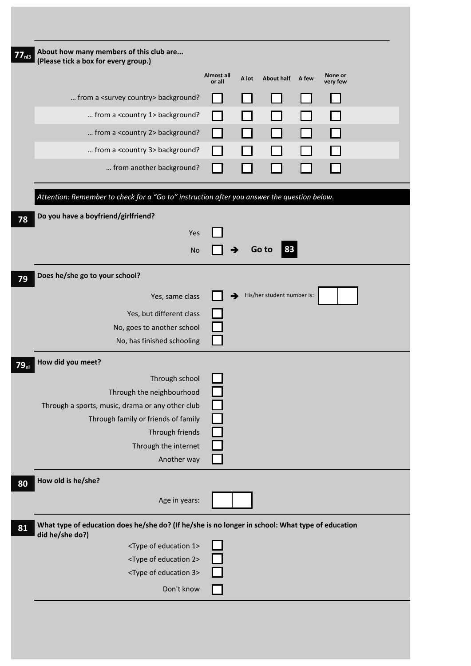| About how many members of this club are                                                                             |                      |       |                            |       |                     |  |
|---------------------------------------------------------------------------------------------------------------------|----------------------|-------|----------------------------|-------|---------------------|--|
| (Please tick a box for every group.)                                                                                |                      |       |                            |       |                     |  |
|                                                                                                                     | Almost all<br>or all | A lot | <b>About half</b>          | A few | None or<br>very few |  |
| from a <survey country=""> background?</survey>                                                                     |                      |       |                            |       |                     |  |
| from a <country 1=""> background?</country>                                                                         |                      |       |                            |       |                     |  |
| from a <country 2=""> background?</country>                                                                         |                      |       |                            |       |                     |  |
| from a <country 3=""> background?</country>                                                                         |                      |       |                            |       |                     |  |
| from another background?                                                                                            |                      |       |                            |       |                     |  |
| Attention: Remember to check for a "Go to" instruction after you answer the question below.                         |                      |       |                            |       |                     |  |
| Do you have a boyfriend/girlfriend?                                                                                 |                      |       |                            |       |                     |  |
| Yes                                                                                                                 |                      |       |                            |       |                     |  |
| <b>No</b>                                                                                                           |                      | →     | Go to<br>83                |       |                     |  |
|                                                                                                                     |                      |       |                            |       |                     |  |
| Does he/she go to your school?                                                                                      |                      |       |                            |       |                     |  |
| Yes, same class                                                                                                     |                      | →     | His/her student number is: |       |                     |  |
| Yes, but different class                                                                                            |                      |       |                            |       |                     |  |
| No, goes to another school                                                                                          |                      |       |                            |       |                     |  |
| No, has finished schooling                                                                                          |                      |       |                            |       |                     |  |
| How did you meet?                                                                                                   |                      |       |                            |       |                     |  |
| Through school                                                                                                      |                      |       |                            |       |                     |  |
| Through the neighbourhood                                                                                           |                      |       |                            |       |                     |  |
| Through a sports, music, drama or any other club                                                                    |                      |       |                            |       |                     |  |
| Through family or friends of family                                                                                 |                      |       |                            |       |                     |  |
| Through friends<br>Through the internet                                                                             |                      |       |                            |       |                     |  |
| Another way                                                                                                         |                      |       |                            |       |                     |  |
| How old is he/she?                                                                                                  |                      |       |                            |       |                     |  |
| Age in years:                                                                                                       |                      |       |                            |       |                     |  |
|                                                                                                                     |                      |       |                            |       |                     |  |
| What type of education does he/she do? (If he/she is no longer in school: What type of education<br>did he/she do?) |                      |       |                            |       |                     |  |
| <type 1="" education="" of=""></type>                                                                               |                      |       |                            |       |                     |  |
| <type 2="" education="" of=""></type>                                                                               |                      |       |                            |       |                     |  |
| <type 3="" education="" of=""></type>                                                                               |                      |       |                            |       |                     |  |
| Don't know                                                                                                          |                      |       |                            |       |                     |  |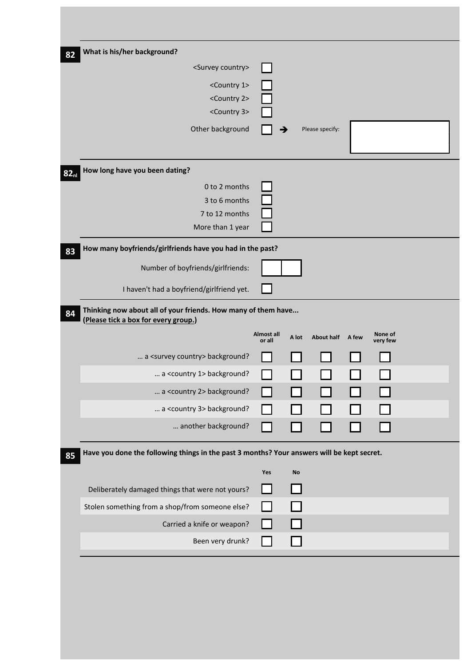| What is his/her background?                                                                           |            |           |                   |       |          |  |
|-------------------------------------------------------------------------------------------------------|------------|-----------|-------------------|-------|----------|--|
| <survey country=""></survey>                                                                          |            |           |                   |       |          |  |
| <country 1=""></country>                                                                              |            |           |                   |       |          |  |
| <country 2=""></country>                                                                              |            |           |                   |       |          |  |
| <country 3=""></country>                                                                              |            |           |                   |       |          |  |
| Other background                                                                                      |            |           | Please specify:   |       |          |  |
|                                                                                                       |            |           |                   |       |          |  |
| How long have you been dating?                                                                        |            |           |                   |       |          |  |
| 0 to 2 months                                                                                         |            |           |                   |       |          |  |
| 3 to 6 months                                                                                         |            |           |                   |       |          |  |
| 7 to 12 months                                                                                        |            |           |                   |       |          |  |
| More than 1 year                                                                                      |            |           |                   |       |          |  |
| How many boyfriends/girlfriends have you had in the past?                                             |            |           |                   |       |          |  |
| Number of boyfriends/girlfriends:                                                                     |            |           |                   |       |          |  |
| I haven't had a boyfriend/girlfriend yet.                                                             |            |           |                   |       |          |  |
| Thinking now about all of your friends. How many of them have<br>(Please tick a box for every group.) | Almost all | A lot     | <b>About half</b> | A few | None of  |  |
| a <survey country=""> background?</survey>                                                            | or all     |           |                   |       | very few |  |
| a <country 1=""> background?</country>                                                                |            |           |                   |       |          |  |
| a <country 2=""> background?</country>                                                                |            |           |                   |       |          |  |
| a <country 3=""> background?</country>                                                                |            |           |                   |       |          |  |
|                                                                                                       |            |           |                   |       |          |  |
| another background?                                                                                   |            |           |                   |       |          |  |
| Have you done the following things in the past 3 months? Your answers will be kept secret.            |            |           |                   |       |          |  |
|                                                                                                       | Yes        | <b>No</b> |                   |       |          |  |
| Deliberately damaged things that were not yours?                                                      |            |           |                   |       |          |  |
| Stolen something from a shop/from someone else?                                                       |            |           |                   |       |          |  |
| Carried a knife or weapon?                                                                            |            |           |                   |       |          |  |
| Been very drunk?                                                                                      |            |           |                   |       |          |  |
|                                                                                                       |            |           |                   |       |          |  |
|                                                                                                       |            |           |                   |       |          |  |
|                                                                                                       |            |           |                   |       |          |  |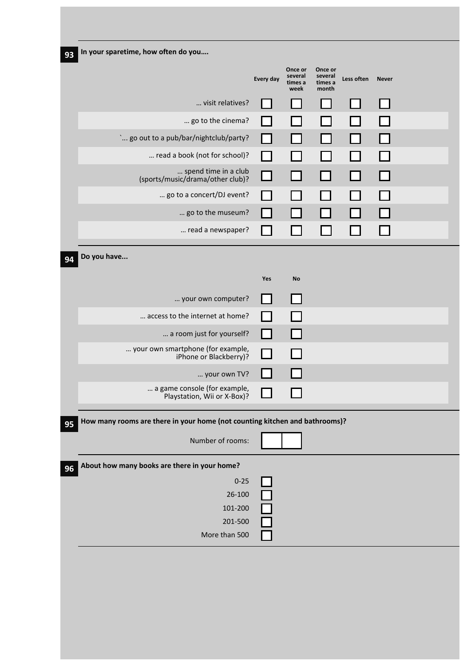| In your sparetime, how often do you                                         |                |                                       |                                        |              |              |  |
|-----------------------------------------------------------------------------|----------------|---------------------------------------|----------------------------------------|--------------|--------------|--|
|                                                                             | Every day      | Once or<br>several<br>times a<br>week | Once or<br>several<br>times a<br>month | Less often   | <b>Never</b> |  |
| visit relatives?                                                            |                |                                       |                                        |              |              |  |
| go to the cinema?                                                           |                |                                       |                                        |              |              |  |
| ` go out to a pub/bar/nightclub/party?                                      |                |                                       |                                        |              |              |  |
| read a book (not for school)?                                               | $\mathsf{L}$   |                                       |                                        |              |              |  |
| spend time in a club<br>(sports/music/drama/other club)?                    | □              |                                       | - 1                                    | $\mathbf{I}$ |              |  |
| go to a concert/DJ event?                                                   |                |                                       |                                        |              |              |  |
| go to the museum?                                                           | H              |                                       |                                        |              |              |  |
| read a newspaper?                                                           | $\blacksquare$ |                                       |                                        |              |              |  |
| Do you have                                                                 |                |                                       |                                        |              |              |  |
|                                                                             |                |                                       |                                        |              |              |  |
|                                                                             | Yes            | No                                    |                                        |              |              |  |
| your own computer?                                                          |                | $\mathbf{I}$                          |                                        |              |              |  |
| access to the internet at home?                                             |                |                                       |                                        |              |              |  |
| a room just for yourself?                                                   | IJ             | 1 I                                   |                                        |              |              |  |
| your own smartphone (for example,<br>iPhone or Blackberry)?                 | $\mathsf{L}$   |                                       |                                        |              |              |  |
| your own TV?                                                                |                |                                       |                                        |              |              |  |
| a game console (for example,<br>Playstation, Wii or X-Box)?                 |                |                                       |                                        |              |              |  |
| How many rooms are there in your home (not counting kitchen and bathrooms)? |                |                                       |                                        |              |              |  |
| Number of rooms:                                                            |                |                                       |                                        |              |              |  |
|                                                                             |                |                                       |                                        |              |              |  |
| About how many books are there in your home?                                |                |                                       |                                        |              |              |  |
| $0 - 25$                                                                    |                |                                       |                                        |              |              |  |
|                                                                             |                |                                       |                                        |              |              |  |
| 26-100                                                                      |                |                                       |                                        |              |              |  |
| 101-200<br>201-500                                                          |                |                                       |                                        |              |              |  |